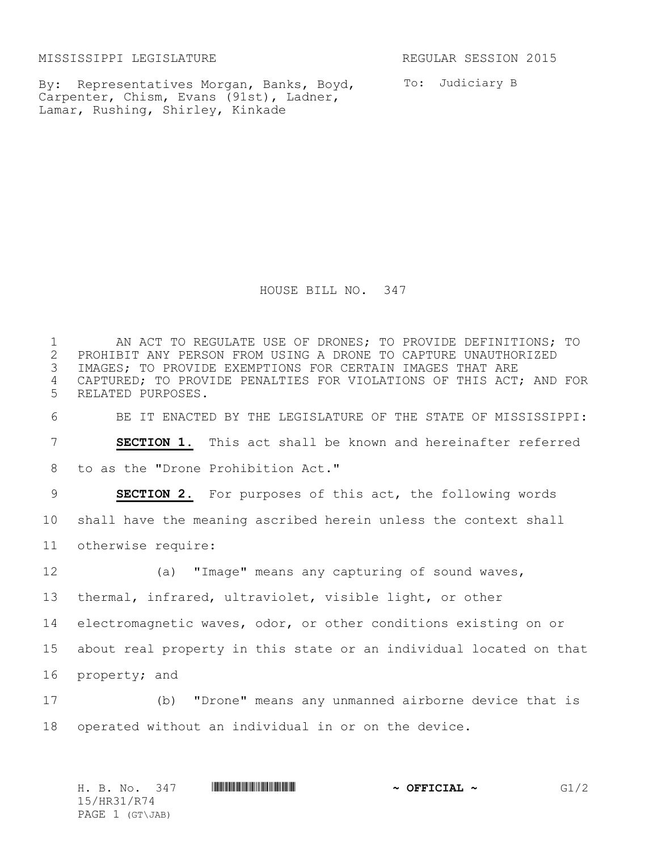MISSISSIPPI LEGISLATURE **REGULAR SESSION 2015** 

By: Representatives Morgan, Banks, Boyd, Carpenter, Chism, Evans (91st), Ladner, Lamar, Rushing, Shirley, Kinkade

To: Judiciary B

HOUSE BILL NO. 347

 AN ACT TO REGULATE USE OF DRONES; TO PROVIDE DEFINITIONS; TO 2 PROHIBIT ANY PERSON FROM USING A DRONE TO CAPTURE UNAUTHORIZED<br>3 IMAGES; TO PROVIDE EXEMPTIONS FOR CERTAIN IMAGES THAT ARE IMAGES; TO PROVIDE EXEMPTIONS FOR CERTAIN IMAGES THAT ARE CAPTURED; TO PROVIDE PENALTIES FOR VIOLATIONS OF THIS ACT; AND FOR RELATED PURPOSES. BE IT ENACTED BY THE LEGISLATURE OF THE STATE OF MISSISSIPPI: **SECTION 1.** This act shall be known and hereinafter referred to as the "Drone Prohibition Act." **SECTION 2.** For purposes of this act, the following words shall have the meaning ascribed herein unless the context shall otherwise require: 12 (a) "Image" means any capturing of sound waves, thermal, infrared, ultraviolet, visible light, or other electromagnetic waves, odor, or other conditions existing on or about real property in this state or an individual located on that property; and (b) "Drone" means any unmanned airborne device that is operated without an individual in or on the device.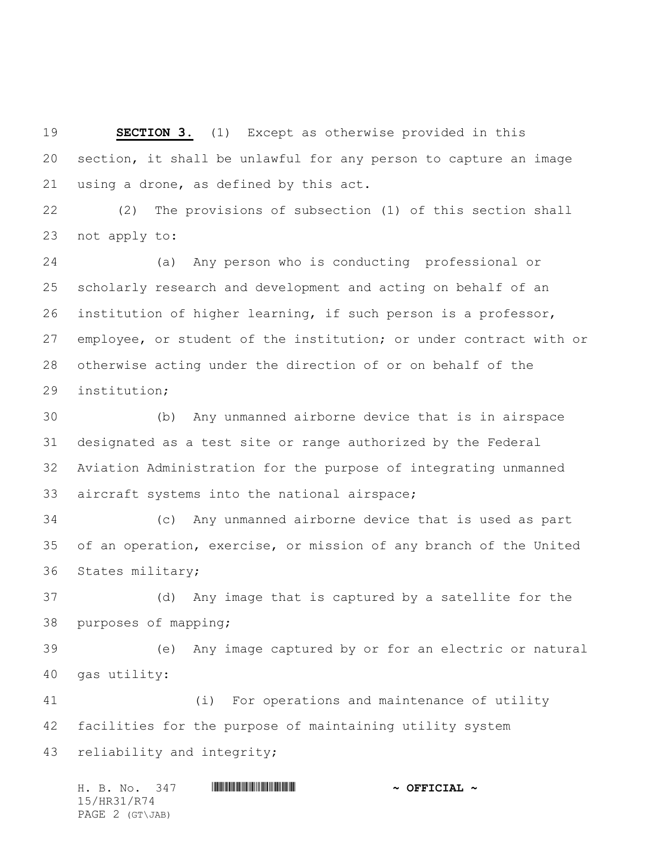**SECTION 3.** (1) Except as otherwise provided in this section, it shall be unlawful for any person to capture an image using a drone, as defined by this act.

 (2) The provisions of subsection (1) of this section shall not apply to:

 (a) Any person who is conducting professional or scholarly research and development and acting on behalf of an institution of higher learning, if such person is a professor, employee, or student of the institution; or under contract with or otherwise acting under the direction of or on behalf of the institution;

 (b) Any unmanned airborne device that is in airspace designated as a test site or range authorized by the Federal Aviation Administration for the purpose of integrating unmanned aircraft systems into the national airspace;

 (c) Any unmanned airborne device that is used as part of an operation, exercise, or mission of any branch of the United States military;

 (d) Any image that is captured by a satellite for the purposes of mapping;

 (e) Any image captured by or for an electric or natural gas utility:

 (i) For operations and maintenance of utility facilities for the purpose of maintaining utility system reliability and integrity;

H. B. No. 347 **HRANGE READER AND A OFFICIAL ~** 15/HR31/R74 PAGE 2 (GT\JAB)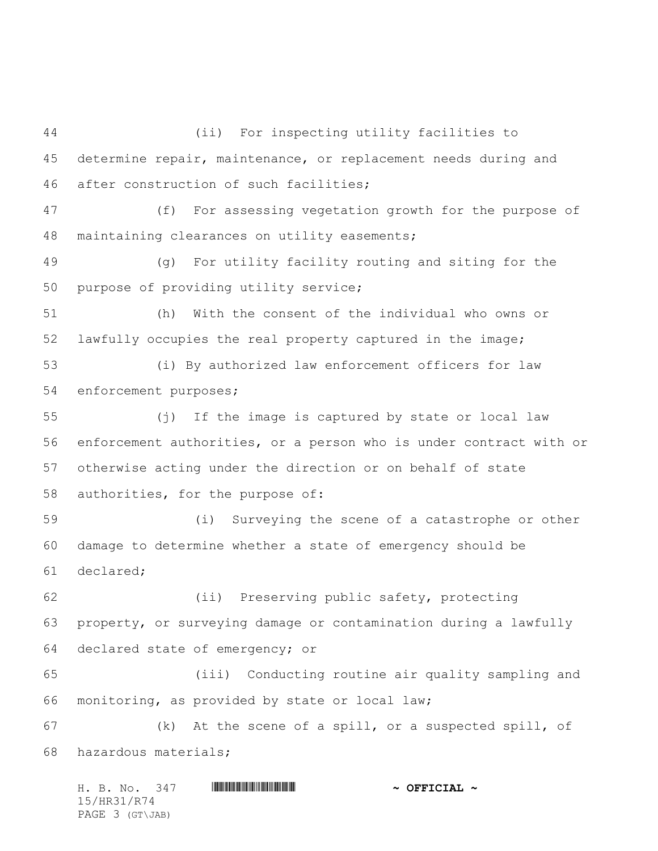(ii) For inspecting utility facilities to determine repair, maintenance, or replacement needs during and after construction of such facilities; (f) For assessing vegetation growth for the purpose of maintaining clearances on utility easements; (g) For utility facility routing and siting for the purpose of providing utility service; (h) With the consent of the individual who owns or lawfully occupies the real property captured in the image; (i) By authorized law enforcement officers for law enforcement purposes; (j) If the image is captured by state or local law enforcement authorities, or a person who is under contract with or otherwise acting under the direction or on behalf of state authorities, for the purpose of: (i) Surveying the scene of a catastrophe or other damage to determine whether a state of emergency should be declared; (ii) Preserving public safety, protecting property, or surveying damage or contamination during a lawfully declared state of emergency; or (iii) Conducting routine air quality sampling and monitoring, as provided by state or local law; (k) At the scene of a spill, or a suspected spill, of hazardous materials;

|             |  | H. B. No. 347   |  |  |  | $\sim$ OFFICIAL $\sim$ |
|-------------|--|-----------------|--|--|--|------------------------|
| 15/HR31/R74 |  |                 |  |  |  |                        |
|             |  | PAGE 3 (GT\JAB) |  |  |  |                        |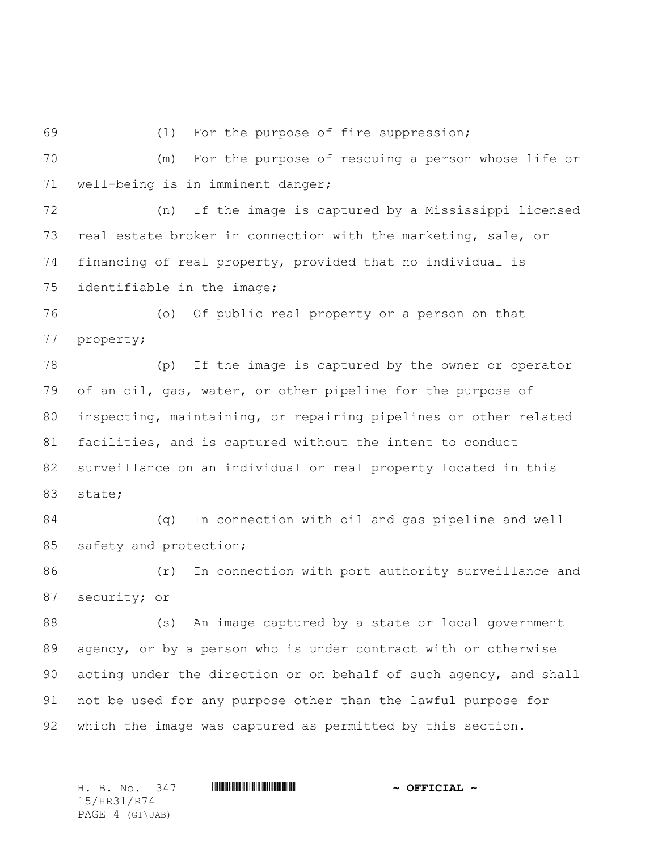(l) For the purpose of fire suppression;

 (m) For the purpose of rescuing a person whose life or well-being is in imminent danger;

 (n) If the image is captured by a Mississippi licensed real estate broker in connection with the marketing, sale, or financing of real property, provided that no individual is identifiable in the image;

 (o) Of public real property or a person on that property;

 (p) If the image is captured by the owner or operator of an oil, gas, water, or other pipeline for the purpose of inspecting, maintaining, or repairing pipelines or other related facilities, and is captured without the intent to conduct surveillance on an individual or real property located in this state;

 (q) In connection with oil and gas pipeline and well 85 safety and protection;

86 (r) In connection with port authority surveillance and security; or

88 (s) An image captured by a state or local government agency, or by a person who is under contract with or otherwise acting under the direction or on behalf of such agency, and shall not be used for any purpose other than the lawful purpose for which the image was captured as permitted by this section.

H. B. No. 347 \*HR31/R74\* **~ OFFICIAL ~** 15/HR31/R74 PAGE 4 (GT\JAB)